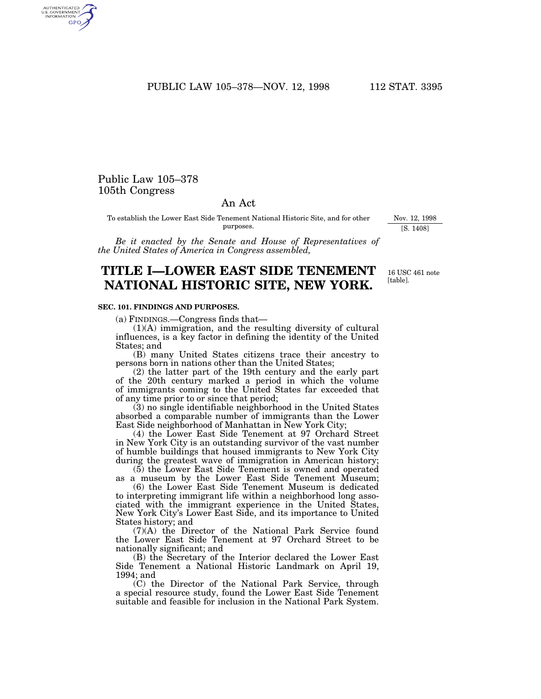PUBLIC LAW 105-378-NOV. 12, 1998 112 STAT. 3395

# Public Law 105–378 105th Congress

# An Act

To establish the Lower East Side Tenement National Historic Site, and for other purposes.

*Be it enacted by the Senate and House of Representatives of the United States of America in Congress assembled,*

# **TITLE I—LOWER EAST SIDE TENEMENT NATIONAL HISTORIC SITE, NEW YORK.**

#### **SEC. 101. FINDINGS AND PURPOSES.**

(a) FINDINGS.—Congress finds that—

(1)(A) immigration, and the resulting diversity of cultural influences, is a key factor in defining the identity of the United States; and

(B) many United States citizens trace their ancestry to persons born in nations other than the United States;

(2) the latter part of the 19th century and the early part of the 20th century marked a period in which the volume of immigrants coming to the United States far exceeded that of any time prior to or since that period;

(3) no single identifiable neighborhood in the United States absorbed a comparable number of immigrants than the Lower East Side neighborhood of Manhattan in New York City;

(4) the Lower East Side Tenement at 97 Orchard Street in New York City is an outstanding survivor of the vast number of humble buildings that housed immigrants to New York City during the greatest wave of immigration in American history;

(5) the Lower East Side Tenement is owned and operated as a museum by the Lower East Side Tenement Museum;

(6) the Lower East Side Tenement Museum is dedicated to interpreting immigrant life within a neighborhood long associated with the immigrant experience in the United States, New York City's Lower East Side, and its importance to United States history; and

(7)(A) the Director of the National Park Service found the Lower East Side Tenement at 97 Orchard Street to be nationally significant; and

(B) the Secretary of the Interior declared the Lower East Side Tenement a National Historic Landmark on April 19, 1994; and

(C) the Director of the National Park Service, through a special resource study, found the Lower East Side Tenement suitable and feasible for inclusion in the National Park System.

16 USC 461 note [table].

Nov. 12, 1998 [S. 1408]

AUTHENTICATED<br>U.S. GOVERNMENT<br>INFORMATION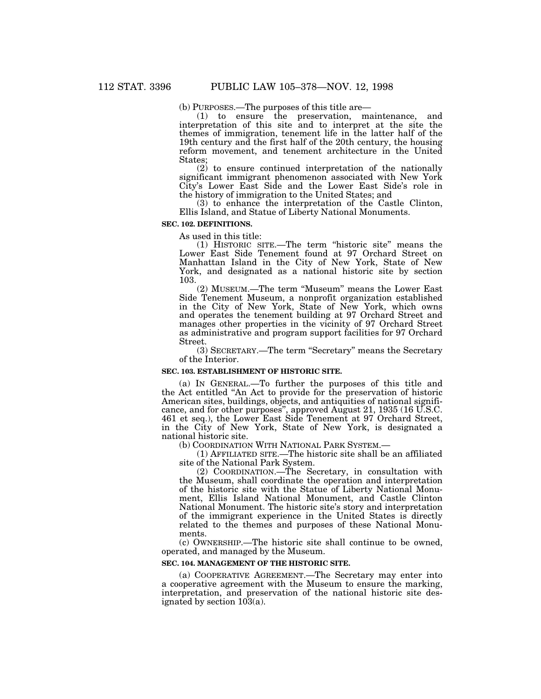(b) PURPOSES.—The purposes of this title are—

(1) to ensure the preservation, maintenance, and interpretation of this site and to interpret at the site the themes of immigration, tenement life in the latter half of the 19th century and the first half of the 20th century, the housing reform movement, and tenement architecture in the United States;

(2) to ensure continued interpretation of the nationally significant immigrant phenomenon associated with New York City's Lower East Side and the Lower East Side's role in the history of immigration to the United States; and

(3) to enhance the interpretation of the Castle Clinton, Ellis Island, and Statue of Liberty National Monuments.

### **SEC. 102. DEFINITIONS.**

As used in this title:

(1) HISTORIC SITE.—The term ''historic site'' means the Lower East Side Tenement found at 97 Orchard Street on Manhattan Island in the City of New York, State of New York, and designated as a national historic site by section 103.

(2) MUSEUM.—The term ''Museum'' means the Lower East Side Tenement Museum, a nonprofit organization established in the City of New York, State of New York, which owns and operates the tenement building at 97 Orchard Street and manages other properties in the vicinity of 97 Orchard Street as administrative and program support facilities for 97 Orchard Street.

(3) SECRETARY.—The term ''Secretary'' means the Secretary of the Interior.

# **SEC. 103. ESTABLISHMENT OF HISTORIC SITE.**

(a) IN GENERAL.—To further the purposes of this title and the Act entitled ''An Act to provide for the preservation of historic American sites, buildings, objects, and antiquities of national significance, and for other purposes'', approved August 21, 1935 (16 U.S.C. 461 et seq.), the Lower East Side Tenement at 97 Orchard Street, in the City of New York, State of New York, is designated a national historic site.<br>
(b) COORDINATION WITH NATIONAL PARK SYSTEM.—

 $(1)$  AFFILIATED SITE.—The historic site shall be an affiliated site of the National Park System.

(2) COORDINATION.—The Secretary, in consultation with the Museum, shall coordinate the operation and interpretation of the historic site with the Statue of Liberty National Monument, Ellis Island National Monument, and Castle Clinton National Monument. The historic site's story and interpretation of the immigrant experience in the United States is directly related to the themes and purposes of these National Monuments.

(c) OWNERSHIP.—The historic site shall continue to be owned, operated, and managed by the Museum.

#### **SEC. 104. MANAGEMENT OF THE HISTORIC SITE.**

(a) COOPERATIVE AGREEMENT.—The Secretary may enter into a cooperative agreement with the Museum to ensure the marking, interpretation, and preservation of the national historic site designated by section  $10\overline{3}$ (a).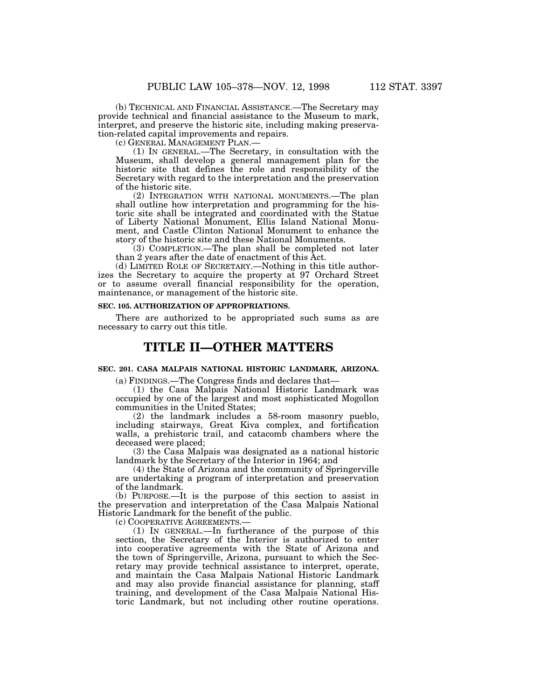(b) TECHNICAL AND FINANCIAL ASSISTANCE.—The Secretary may provide technical and financial assistance to the Museum to mark, interpret, and preserve the historic site, including making preservation-related capital improvements and repairs.<br>(c) GENERAL MANAGEMENT PLAN.—

 $(1)$  In GENERAL.—The Secretary, in consultation with the Museum, shall develop a general management plan for the historic site that defines the role and responsibility of the Secretary with regard to the interpretation and the preservation of the historic site.

(2) INTEGRATION WITH NATIONAL MONUMENTS.—The plan shall outline how interpretation and programming for the historic site shall be integrated and coordinated with the Statue of Liberty National Monument, Ellis Island National Monument, and Castle Clinton National Monument to enhance the story of the historic site and these National Monuments.

(3) COMPLETION.—The plan shall be completed not later than 2 years after the date of enactment of this Act.

(d) LIMITED ROLE OF SECRETARY.—Nothing in this title authorizes the Secretary to acquire the property at 97 Orchard Street or to assume overall financial responsibility for the operation, maintenance, or management of the historic site.

## **SEC. 105. AUTHORIZATION OF APPROPRIATIONS.**

There are authorized to be appropriated such sums as are necessary to carry out this title.

# **TITLE II—OTHER MATTERS**

### **SEC. 201. CASA MALPAIS NATIONAL HISTORIC LANDMARK, ARIZONA.**

(a) FINDINGS.—The Congress finds and declares that—

(1) the Casa Malpais National Historic Landmark was occupied by one of the largest and most sophisticated Mogollon communities in the United States;

(2) the landmark includes a 58-room masonry pueblo, including stairways, Great Kiva complex, and fortification walls, a prehistoric trail, and catacomb chambers where the deceased were placed;

(3) the Casa Malpais was designated as a national historic landmark by the Secretary of the Interior in 1964; and

(4) the State of Arizona and the community of Springerville are undertaking a program of interpretation and preservation of the landmark.

(b) PURPOSE.—It is the purpose of this section to assist in the preservation and interpretation of the Casa Malpais National Historic Landmark for the benefit of the public.

(c) COOPERATIVE AGREEMENTS.—

(1) IN GENERAL.—In furtherance of the purpose of this section, the Secretary of the Interior is authorized to enter into cooperative agreements with the State of Arizona and the town of Springerville, Arizona, pursuant to which the Secretary may provide technical assistance to interpret, operate, and maintain the Casa Malpais National Historic Landmark and may also provide financial assistance for planning, staff training, and development of the Casa Malpais National Historic Landmark, but not including other routine operations.